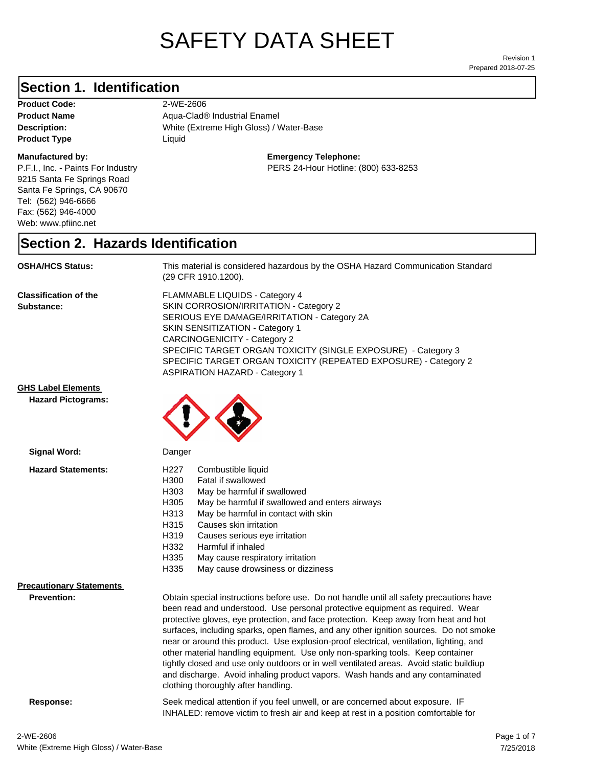# SAFETY DATA SHEET

Prepared 2018-07-25 Revision 1

#### **Section 1. Identification**

**Product Code:** 2-WE-2606 **Product Type Liquid Liquid** 

#### **Manufactured by:**

P.F.I., Inc. - Paints For Industry 9215 Santa Fe Springs Road Santa Fe Springs, CA 90670 Tel: (562) 946-6666 Fax: (562) 946-4000 Web: www.pfiinc.net

**Description:** White (Extreme High Gloss) / Water-Base **Product Name** Aqua-Clad<sup>®</sup> Industrial Enamel

**Emergency Telephone:**

PERS 24-Hour Hotline: (800) 633-8253

#### **Section 2. Hazards Identification**

**OSHA/HCS Status:** This material is considered hazardous by the OSHA Hazard Communication Standard (29 CFR 1910.1200).

**Classification of the Substance:**

FLAMMABLE LIQUIDS - Category 4 SKIN CORROSION/IRRITATION - Category 2 SERIOUS EYE DAMAGE/IRRITATION - Category 2A SKIN SENSITIZATION - Category 1 CARCINOGENICITY - Category 2 SPECIFIC TARGET ORGAN TOXICITY (SINGLE EXPOSURE) - Category 3 SPECIFIC TARGET ORGAN TOXICITY (REPEATED EXPOSURE) - Category 2 ASPIRATION HAZARD - Category 1

**GHS Label Elements**

**Hazard Pictograms:**



| Danger                                                                                                                                                                                                                                                                                                                                                                                                                                                                                                                                                                                                                                                                                                                                                   |  |
|----------------------------------------------------------------------------------------------------------------------------------------------------------------------------------------------------------------------------------------------------------------------------------------------------------------------------------------------------------------------------------------------------------------------------------------------------------------------------------------------------------------------------------------------------------------------------------------------------------------------------------------------------------------------------------------------------------------------------------------------------------|--|
| Combustible liquid<br>H227<br>H300<br>Fatal if swallowed<br>H303<br>May be harmful if swallowed<br>H305<br>May be harmful if swallowed and enters airways<br>H313<br>May be harmful in contact with skin<br>H315<br>Causes skin irritation<br>H319<br>Causes serious eye irritation<br>H332<br>Harmful if inhaled<br>H335<br>May cause respiratory irritation<br>H335<br>May cause drowsiness or dizziness                                                                                                                                                                                                                                                                                                                                               |  |
| Obtain special instructions before use. Do not handle until all safety precautions have<br>been read and understood. Use personal protective equipment as required. Wear<br>protective gloves, eye protection, and face protection. Keep away from heat and hot<br>surfaces, including sparks, open flames, and any other ignition sources. Do not smoke<br>near or around this product. Use explosion-proof electrical, ventilation, lighting, and<br>other material handling equipment. Use only non-sparking tools. Keep container<br>tightly closed and use only outdoors or in well ventilated areas. Avoid static buildiup<br>and discharge. Avoid inhaling product vapors. Wash hands and any contaminated<br>clothing thoroughly after handling. |  |
|                                                                                                                                                                                                                                                                                                                                                                                                                                                                                                                                                                                                                                                                                                                                                          |  |

**Response:** Seek medical attention if you feel unwell, or are concerned about exposure. IF INHALED: remove victim to fresh air and keep at rest in a position comfortable for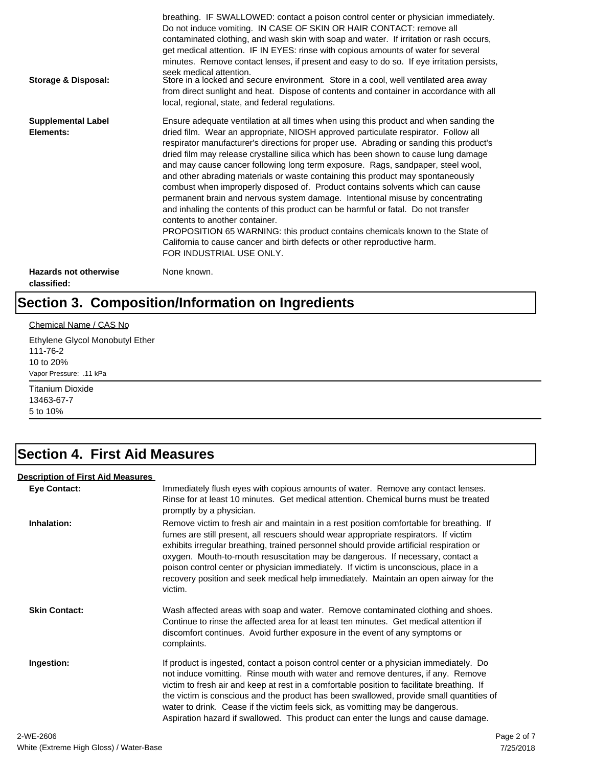| Storage & Disposal:                         | breathing. IF SWALLOWED: contact a poison control center or physician immediately.<br>Do not induce vomiting. IN CASE OF SKIN OR HAIR CONTACT: remove all<br>contaminated clothing, and wash skin with soap and water. If irritation or rash occurs,<br>get medical attention. IF IN EYES: rinse with copious amounts of water for several<br>minutes. Remove contact lenses, if present and easy to do so. If eye irritation persists,<br>seek medical attention.<br>Store in a locked and secure environment. Store in a cool, well ventilated area away<br>from direct sunlight and heat. Dispose of contents and container in accordance with all<br>local, regional, state, and federal regulations.                                                                                                                                                                                                                                                                                                                |
|---------------------------------------------|--------------------------------------------------------------------------------------------------------------------------------------------------------------------------------------------------------------------------------------------------------------------------------------------------------------------------------------------------------------------------------------------------------------------------------------------------------------------------------------------------------------------------------------------------------------------------------------------------------------------------------------------------------------------------------------------------------------------------------------------------------------------------------------------------------------------------------------------------------------------------------------------------------------------------------------------------------------------------------------------------------------------------|
| <b>Supplemental Label</b><br>Elements:      | Ensure adequate ventilation at all times when using this product and when sanding the<br>dried film. Wear an appropriate, NIOSH approved particulate respirator. Follow all<br>respirator manufacturer's directions for proper use. Abrading or sanding this product's<br>dried film may release crystalline silica which has been shown to cause lung damage<br>and may cause cancer following long term exposure. Rags, sandpaper, steel wool,<br>and other abrading materials or waste containing this product may spontaneously<br>combust when improperly disposed of. Product contains solvents which can cause<br>permanent brain and nervous system damage. Intentional misuse by concentrating<br>and inhaling the contents of this product can be harmful or fatal. Do not transfer<br>contents to another container.<br>PROPOSITION 65 WARNING: this product contains chemicals known to the State of<br>California to cause cancer and birth defects or other reproductive harm.<br>FOR INDUSTRIAL USE ONLY. |
| <b>Hazards not otherwise</b><br>classified: | None known.                                                                                                                                                                                                                                                                                                                                                                                                                                                                                                                                                                                                                                                                                                                                                                                                                                                                                                                                                                                                              |

# **Section 3. Composition/Information on Ingredients**

#### Chemical Name / CAS No

Ethylene Glycol Monobutyl Ether 111-76-2 10 to 20% Vapor Pressure: .11 kPa

Titanium Dioxide 13463-67-7 5 to 10%

### **Section 4. First Aid Measures**

#### **Description of First Aid Measures**

| <b>Eye Contact:</b>  | Immediately flush eyes with copious amounts of water. Remove any contact lenses.<br>Rinse for at least 10 minutes. Get medical attention. Chemical burns must be treated<br>promptly by a physician.                                                                                                                                                                                                                                                                                                                                                      |
|----------------------|-----------------------------------------------------------------------------------------------------------------------------------------------------------------------------------------------------------------------------------------------------------------------------------------------------------------------------------------------------------------------------------------------------------------------------------------------------------------------------------------------------------------------------------------------------------|
| Inhalation:          | Remove victim to fresh air and maintain in a rest position comfortable for breathing. If<br>fumes are still present, all rescuers should wear appropriate respirators. If victim<br>exhibits irregular breathing, trained personnel should provide artificial respiration or<br>oxygen. Mouth-to-mouth resuscitation may be dangerous. If necessary, contact a<br>poison control center or physician immediately. If victim is unconscious, place in a<br>recovery position and seek medical help immediately. Maintain an open airway for the<br>victim. |
| <b>Skin Contact:</b> | Wash affected areas with soap and water. Remove contaminated clothing and shoes.<br>Continue to rinse the affected area for at least ten minutes. Get medical attention if<br>discomfort continues. Avoid further exposure in the event of any symptoms or<br>complaints.                                                                                                                                                                                                                                                                                 |
| Ingestion:           | If product is ingested, contact a poison control center or a physician immediately. Do<br>not induce vomitting. Rinse mouth with water and remove dentures, if any. Remove<br>victim to fresh air and keep at rest in a comfortable position to facilitate breathing. If<br>the victim is conscious and the product has been swallowed, provide small quantities of<br>water to drink. Cease if the victim feels sick, as vomitting may be dangerous.<br>Aspiration hazard if swallowed. This product can enter the lungs and cause damage.               |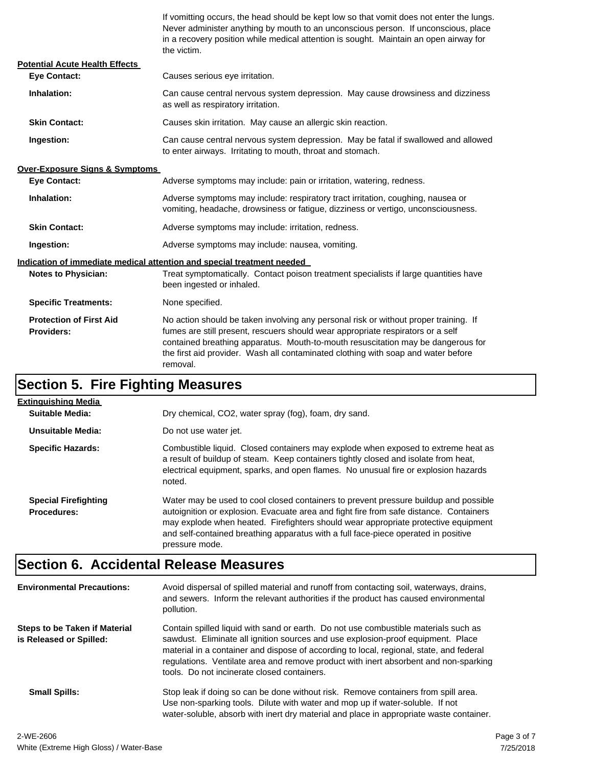If vomitting occurs, the head should be kept low so that vomit does not enter the lungs. Never administer anything by mouth to an unconscious person. If unconscious, place in a recovery position while medical attention is sought. Maintain an open airway for the victim.

| <b>Potential Acute Health Effects</b>               |                                                                                                                                                                                                                                                                                                                                                              |  |
|-----------------------------------------------------|--------------------------------------------------------------------------------------------------------------------------------------------------------------------------------------------------------------------------------------------------------------------------------------------------------------------------------------------------------------|--|
| <b>Eve Contact:</b>                                 | Causes serious eye irritation.                                                                                                                                                                                                                                                                                                                               |  |
| Inhalation:                                         | Can cause central nervous system depression. May cause drowsiness and dizziness<br>as well as respiratory irritation.                                                                                                                                                                                                                                        |  |
| <b>Skin Contact:</b>                                | Causes skin irritation. May cause an allergic skin reaction.                                                                                                                                                                                                                                                                                                 |  |
| Ingestion:                                          | Can cause central nervous system depression. May be fatal if swallowed and allowed<br>to enter airways. Irritating to mouth, throat and stomach.                                                                                                                                                                                                             |  |
| <b>Over-Exposure Signs &amp; Symptoms</b>           |                                                                                                                                                                                                                                                                                                                                                              |  |
| <b>Eye Contact:</b>                                 | Adverse symptoms may include: pain or irritation, watering, redness.                                                                                                                                                                                                                                                                                         |  |
| Inhalation:                                         | Adverse symptoms may include: respiratory tract irritation, coughing, nausea or<br>vomiting, headache, drowsiness or fatigue, dizziness or vertigo, unconsciousness.                                                                                                                                                                                         |  |
| <b>Skin Contact:</b>                                | Adverse symptoms may include: irritation, redness.                                                                                                                                                                                                                                                                                                           |  |
| Ingestion:                                          | Adverse symptoms may include: nausea, vomiting.                                                                                                                                                                                                                                                                                                              |  |
|                                                     | Indication of immediate medical attention and special treatment needed                                                                                                                                                                                                                                                                                       |  |
| <b>Notes to Physician:</b>                          | Treat symptomatically. Contact poison treatment specialists if large quantities have<br>been ingested or inhaled.                                                                                                                                                                                                                                            |  |
| <b>Specific Treatments:</b>                         | None specified.                                                                                                                                                                                                                                                                                                                                              |  |
| <b>Protection of First Aid</b><br><b>Providers:</b> | No action should be taken involving any personal risk or without proper training. If<br>fumes are still present, rescuers should wear appropriate respirators or a self<br>contained breathing apparatus. Mouth-to-mouth resuscitation may be dangerous for<br>the first aid provider. Wash all contaminated clothing with soap and water before<br>removal. |  |

# **Section 5. Fire Fighting Measures**

| Extinguishing Media                               |                                                                                                                                                                                                                                                                                                                                                                              |
|---------------------------------------------------|------------------------------------------------------------------------------------------------------------------------------------------------------------------------------------------------------------------------------------------------------------------------------------------------------------------------------------------------------------------------------|
| Suitable Media:                                   | Dry chemical, CO2, water spray (fog), foam, dry sand.                                                                                                                                                                                                                                                                                                                        |
| Unsuitable Media:                                 | Do not use water jet.                                                                                                                                                                                                                                                                                                                                                        |
| <b>Specific Hazards:</b>                          | Combustible liquid. Closed containers may explode when exposed to extreme heat as<br>a result of buildup of steam. Keep containers tightly closed and isolate from heat,<br>electrical equipment, sparks, and open flames. No unusual fire or explosion hazards<br>noted.                                                                                                    |
| <b>Special Firefighting</b><br><b>Procedures:</b> | Water may be used to cool closed containers to prevent pressure buildup and possible<br>autoignition or explosion. Evacuate area and fight fire from safe distance. Containers<br>may explode when heated. Firefighters should wear appropriate protective equipment<br>and self-contained breathing apparatus with a full face-piece operated in positive<br>pressure mode. |

# **Section 6. Accidental Release Measures**

| <b>Environmental Precautions:</b>                               | Avoid dispersal of spilled material and runoff from contacting soil, waterways, drains,<br>and sewers. Inform the relevant authorities if the product has caused environmental<br>pollution.                                                                                                                                                                                                              |
|-----------------------------------------------------------------|-----------------------------------------------------------------------------------------------------------------------------------------------------------------------------------------------------------------------------------------------------------------------------------------------------------------------------------------------------------------------------------------------------------|
| <b>Steps to be Taken if Material</b><br>is Released or Spilled: | Contain spilled liquid with sand or earth. Do not use combustible materials such as<br>sawdust. Eliminate all ignition sources and use explosion-proof equipment. Place<br>material in a container and dispose of according to local, regional, state, and federal<br>regulations. Ventilate area and remove product with inert absorbent and non-sparking<br>tools. Do not incinerate closed containers. |
| <b>Small Spills:</b>                                            | Stop leak if doing so can be done without risk. Remove containers from spill area.<br>Use non-sparking tools. Dilute with water and mop up if water-soluble. If not<br>water-soluble, absorb with inert dry material and place in appropriate waste container.                                                                                                                                            |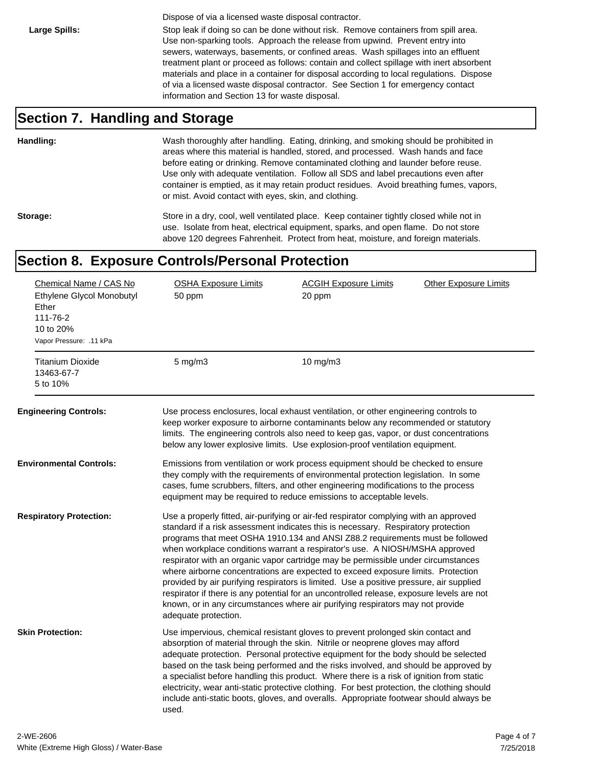Dispose of via a licensed waste disposal contractor.

Large Spills: Stop leak if doing so can be done without risk. Remove containers from spill area. Use non-sparking tools. Approach the release from upwind. Prevent entry into sewers, waterways, basements, or confined areas. Wash spillages into an effluent treatment plant or proceed as follows: contain and collect spillage with inert absorbent materials and place in a container for disposal according to local regulations. Dispose of via a licensed waste disposal contractor. See Section 1 for emergency contact information and Section 13 for waste disposal.

#### **Section 7. Handling and Storage**

**Handling:** Wash thoroughly after handling. Eating, drinking, and smoking should be prohibited in areas where this material is handled, stored, and processed. Wash hands and face before eating or drinking. Remove contaminated clothing and launder before reuse. Use only with adequate ventilation. Follow all SDS and label precautions even after container is emptied, as it may retain product residues. Avoid breathing fumes, vapors, or mist. Avoid contact with eyes, skin, and clothing.

Storage: Store in a dry, cool, well ventilated place. Keep container tightly closed while not in use. Isolate from heat, electrical equipment, sparks, and open flame. Do not store above 120 degrees Fahrenheit. Protect from heat, moisture, and foreign materials.

#### **Section 8. Exposure Controls/Personal Protection**

| Chemical Name / CAS No<br>Ethylene Glycol Monobutyl<br>Ether<br>111-76-2<br>10 to 20%<br>Vapor Pressure: .11 kPa<br><b>Titanium Dioxide</b> | <b>OSHA Exposure Limits</b><br>50 ppm<br>$5 \text{ mg/m}$ | <b>ACGIH Exposure Limits</b><br>20 ppm<br>10 $mg/m3$                                                                                                                                                                                                                                                                                                                                                                                                                                                                                                                                                                                                                                                                                                                                          | <b>Other Exposure Limits</b> |
|---------------------------------------------------------------------------------------------------------------------------------------------|-----------------------------------------------------------|-----------------------------------------------------------------------------------------------------------------------------------------------------------------------------------------------------------------------------------------------------------------------------------------------------------------------------------------------------------------------------------------------------------------------------------------------------------------------------------------------------------------------------------------------------------------------------------------------------------------------------------------------------------------------------------------------------------------------------------------------------------------------------------------------|------------------------------|
| 13463-67-7<br>5 to 10%                                                                                                                      |                                                           |                                                                                                                                                                                                                                                                                                                                                                                                                                                                                                                                                                                                                                                                                                                                                                                               |                              |
| <b>Engineering Controls:</b>                                                                                                                |                                                           | Use process enclosures, local exhaust ventilation, or other engineering controls to<br>keep worker exposure to airborne contaminants below any recommended or statutory<br>limits. The engineering controls also need to keep gas, vapor, or dust concentrations<br>below any lower explosive limits. Use explosion-proof ventilation equipment.                                                                                                                                                                                                                                                                                                                                                                                                                                              |                              |
| <b>Environmental Controls:</b>                                                                                                              |                                                           | Emissions from ventilation or work process equipment should be checked to ensure<br>they comply with the requirements of environmental protection legislation. In some<br>cases, fume scrubbers, filters, and other engineering modifications to the process<br>equipment may be required to reduce emissions to acceptable levels.                                                                                                                                                                                                                                                                                                                                                                                                                                                           |                              |
| <b>Respiratory Protection:</b>                                                                                                              | adequate protection.                                      | Use a properly fitted, air-purifying or air-fed respirator complying with an approved<br>standard if a risk assessment indicates this is necessary. Respiratory protection<br>programs that meet OSHA 1910.134 and ANSI Z88.2 requirements must be followed<br>when workplace conditions warrant a respirator's use. A NIOSH/MSHA approved<br>respirator with an organic vapor cartridge may be permissible under circumstances<br>where airborne concentrations are expected to exceed exposure limits. Protection<br>provided by air purifying respirators is limited. Use a positive pressure, air supplied<br>respirator if there is any potential for an uncontrolled release, exposure levels are not<br>known, or in any circumstances where air purifying respirators may not provide |                              |
| <b>Skin Protection:</b>                                                                                                                     | used.                                                     | Use impervious, chemical resistant gloves to prevent prolonged skin contact and<br>absorption of material through the skin. Nitrile or neoprene gloves may afford<br>adequate protection. Personal protective equipment for the body should be selected<br>based on the task being performed and the risks involved, and should be approved by<br>a specialist before handling this product. Where there is a risk of ignition from static<br>electricity, wear anti-static protective clothing. For best protection, the clothing should<br>include anti-static boots, gloves, and overalls. Appropriate footwear should always be                                                                                                                                                           |                              |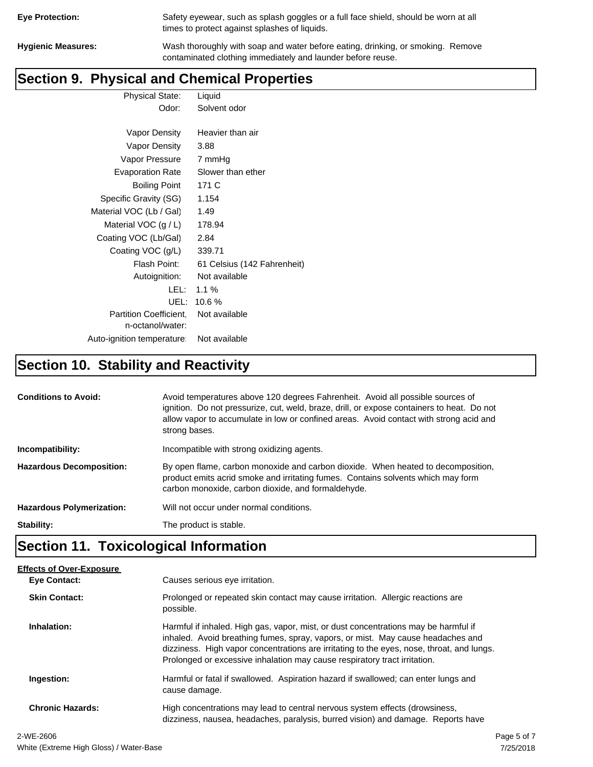| <b>Eye Protection:</b> |  |
|------------------------|--|
|                        |  |

Safety eyewear, such as splash goggles or a full face shield, should be worn at all times to protect against splashes of liquids.

**Hygienic Measures:** Wash thoroughly with soap and water before eating, drinking, or smoking. Remove contaminated clothing immediately and launder before reuse.

### **Section 9. Physical and Chemical Properties**

Physical State: Liquid Odor: Solvent odor

| Vapor Density                                     | Heavier than air            |
|---------------------------------------------------|-----------------------------|
| Vapor Density                                     | 3.88                        |
| Vapor Pressure                                    | 7 mmHg                      |
| <b>Evaporation Rate</b>                           | Slower than ether           |
| <b>Boiling Point</b>                              | 171 C                       |
| Specific Gravity (SG)                             | 1.154                       |
| Material VOC (Lb / Gal)                           | 1.49                        |
| Material VOC $(g/L)$                              | 178.94                      |
| Coating VOC (Lb/Gal)                              | 2.84                        |
| Coating VOC (g/L)                                 | 339.71                      |
| Flash Point:                                      | 61 Celsius (142 Fahrenheit) |
| Autoignition:                                     | Not available               |
| LEL:                                              | $1.1 \%$                    |
| UEL:                                              | 10.6 %                      |
| <b>Partition Coefficient.</b><br>n-octanol/water: | Not available               |
| Auto-ignition temperature:                        | Not available               |

# **Section 10. Stability and Reactivity**

| <b>Conditions to Avoid:</b>      | Avoid temperatures above 120 degrees Fahrenheit. Avoid all possible sources of<br>ignition. Do not pressurize, cut, weld, braze, drill, or expose containers to heat. Do not<br>allow vapor to accumulate in low or confined areas. Avoid contact with strong acid and<br>strong bases. |
|----------------------------------|-----------------------------------------------------------------------------------------------------------------------------------------------------------------------------------------------------------------------------------------------------------------------------------------|
| Incompatibility:                 | Incompatible with strong oxidizing agents.                                                                                                                                                                                                                                              |
| <b>Hazardous Decomposition:</b>  | By open flame, carbon monoxide and carbon dioxide. When heated to decomposition,<br>product emits acrid smoke and irritating fumes. Contains solvents which may form<br>carbon monoxide, carbon dioxide, and formaldehyde.                                                              |
| <b>Hazardous Polymerization:</b> | Will not occur under normal conditions.                                                                                                                                                                                                                                                 |
| Stability:                       | The product is stable.                                                                                                                                                                                                                                                                  |

# **Section 11. Toxicological Information**

| <b>Effects of Over-Exposure</b> |                                                                                                                                                                                                                                                                                                                                                  |             |
|---------------------------------|--------------------------------------------------------------------------------------------------------------------------------------------------------------------------------------------------------------------------------------------------------------------------------------------------------------------------------------------------|-------------|
| Eye Contact:                    | Causes serious eye irritation.                                                                                                                                                                                                                                                                                                                   |             |
| <b>Skin Contact:</b>            | Prolonged or repeated skin contact may cause irritation. Allergic reactions are<br>possible.                                                                                                                                                                                                                                                     |             |
| Inhalation:                     | Harmful if inhaled. High gas, vapor, mist, or dust concentrations may be harmful if<br>inhaled. Avoid breathing fumes, spray, vapors, or mist. May cause headaches and<br>dizziness. High vapor concentrations are irritating to the eyes, nose, throat, and lungs.<br>Prolonged or excessive inhalation may cause respiratory tract irritation. |             |
| Ingestion:                      | Harmful or fatal if swallowed. Aspiration hazard if swallowed; can enter lungs and<br>cause damage.                                                                                                                                                                                                                                              |             |
| <b>Chronic Hazards:</b>         | High concentrations may lead to central nervous system effects (drowsiness,<br>dizziness, nausea, headaches, paralysis, burred vision) and damage. Reports have                                                                                                                                                                                  |             |
| 2-WE-2606                       |                                                                                                                                                                                                                                                                                                                                                  | Page 5 of 7 |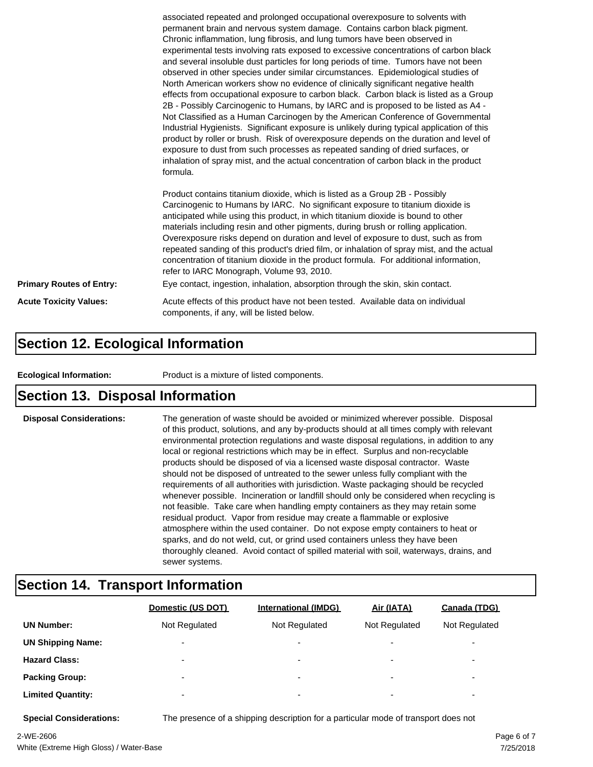|                                 | associated repeated and prolonged occupational overexposure to solvents with<br>permanent brain and nervous system damage. Contains carbon black pigment.<br>Chronic inflammation, lung fibrosis, and lung tumors have been observed in<br>experimental tests involving rats exposed to excessive concentrations of carbon black<br>and several insoluble dust particles for long periods of time. Tumors have not been<br>observed in other species under similar circumstances. Epidemiological studies of<br>North American workers show no evidence of clinically significant negative health<br>effects from occupational exposure to carbon black. Carbon black is listed as a Group<br>2B - Possibly Carcinogenic to Humans, by IARC and is proposed to be listed as A4 -<br>Not Classified as a Human Carcinogen by the American Conference of Governmental<br>Industrial Hygienists. Significant exposure is unlikely during typical application of this<br>product by roller or brush. Risk of overexposure depends on the duration and level of<br>exposure to dust from such processes as repeated sanding of dried surfaces, or<br>inhalation of spray mist, and the actual concentration of carbon black in the product<br>formula.<br>Product contains titanium dioxide, which is listed as a Group 2B - Possibly<br>Carcinogenic to Humans by IARC. No significant exposure to titanium dioxide is<br>anticipated while using this product, in which titanium dioxide is bound to other<br>materials including resin and other pigments, during brush or rolling application.<br>Overexposure risks depend on duration and level of exposure to dust, such as from |  |
|---------------------------------|------------------------------------------------------------------------------------------------------------------------------------------------------------------------------------------------------------------------------------------------------------------------------------------------------------------------------------------------------------------------------------------------------------------------------------------------------------------------------------------------------------------------------------------------------------------------------------------------------------------------------------------------------------------------------------------------------------------------------------------------------------------------------------------------------------------------------------------------------------------------------------------------------------------------------------------------------------------------------------------------------------------------------------------------------------------------------------------------------------------------------------------------------------------------------------------------------------------------------------------------------------------------------------------------------------------------------------------------------------------------------------------------------------------------------------------------------------------------------------------------------------------------------------------------------------------------------------------------------------------------------------------------------------------------------------|--|
|                                 | repeated sanding of this product's dried film, or inhalation of spray mist, and the actual<br>concentration of titanium dioxide in the product formula. For additional information,<br>refer to IARC Monograph, Volume 93, 2010.                                                                                                                                                                                                                                                                                                                                                                                                                                                                                                                                                                                                                                                                                                                                                                                                                                                                                                                                                                                                                                                                                                                                                                                                                                                                                                                                                                                                                                                   |  |
| <b>Primary Routes of Entry:</b> | Eye contact, ingestion, inhalation, absorption through the skin, skin contact.                                                                                                                                                                                                                                                                                                                                                                                                                                                                                                                                                                                                                                                                                                                                                                                                                                                                                                                                                                                                                                                                                                                                                                                                                                                                                                                                                                                                                                                                                                                                                                                                     |  |
| <b>Acute Toxicity Values:</b>   | Acute effects of this product have not been tested. Available data on individual<br>components, if any, will be listed below.                                                                                                                                                                                                                                                                                                                                                                                                                                                                                                                                                                                                                                                                                                                                                                                                                                                                                                                                                                                                                                                                                                                                                                                                                                                                                                                                                                                                                                                                                                                                                      |  |

#### **Section 12. Ecological Information**

**Ecological Information:** Product is a mixture of listed components.

#### **Section 13. Disposal Information**

**Disposal Considerations:** The generation of waste should be avoided or minimized wherever possible. Disposal of this product, solutions, and any by-products should at all times comply with relevant environmental protection regulations and waste disposal regulations, in addition to any local or regional restrictions which may be in effect. Surplus and non-recyclable products should be disposed of via a licensed waste disposal contractor. Waste should not be disposed of untreated to the sewer unless fully compliant with the requirements of all authorities with jurisdiction. Waste packaging should be recycled whenever possible. Incineration or landfill should only be considered when recycling is not feasible. Take care when handling empty containers as they may retain some residual product. Vapor from residue may create a flammable or explosive atmosphere within the used container. Do not expose empty containers to heat or sparks, and do not weld, cut, or grind used containers unless they have been thoroughly cleaned. Avoid contact of spilled material with soil, waterways, drains, and sewer systems.

#### **Section 14. Transport Information**

|                          | Domestic (US DOT)        | <b>International (IMDG)</b> | Air (IATA)               | Canada (TDG)             |
|--------------------------|--------------------------|-----------------------------|--------------------------|--------------------------|
| <b>UN Number:</b>        | Not Regulated            | Not Regulated               | Not Regulated            | Not Regulated            |
| <b>UN Shipping Name:</b> | $\overline{\phantom{0}}$ | $\overline{\phantom{0}}$    | $\overline{\phantom{0}}$ | $\overline{\phantom{0}}$ |
| <b>Hazard Class:</b>     | $\overline{\phantom{0}}$ | $\overline{\phantom{0}}$    | $\overline{\phantom{0}}$ | $\overline{\phantom{0}}$ |
| <b>Packing Group:</b>    | $\overline{\phantom{0}}$ | ۰                           | $\overline{\phantom{0}}$ | $\overline{\phantom{0}}$ |
| <b>Limited Quantity:</b> | $\overline{\phantom{0}}$ | $\overline{\phantom{0}}$    | $\overline{\phantom{0}}$ | $\overline{\phantom{a}}$ |

**Special Considerations:** The presence of a shipping description for a particular mode of transport does not